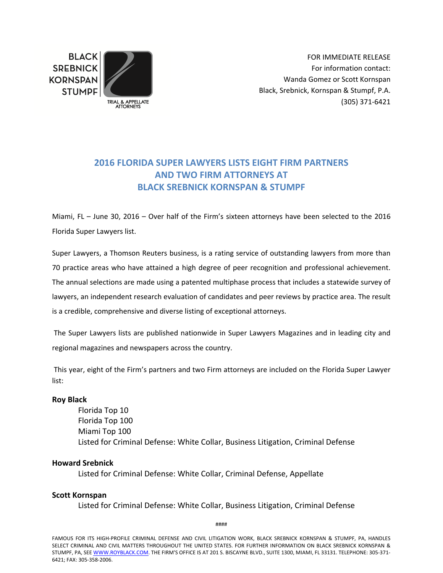**BLACK SREBNICK KORNSPAN STUMPF** 



FOR IMMEDIATE RELEASE For information contact: Wanda Gomez or Scott Kornspan Black, Srebnick, Kornspan & Stumpf, P.A. (305) 371‐6421

# **2016 FLORIDA SUPER LAWYERS LISTS EIGHT FIRM PARTNERS AND TWO FIRM ATTORNEYS AT BLACK SREBNICK KORNSPAN & STUMPF**

Miami, FL – June 30, 2016 – Over half of the Firm's sixteen attorneys have been selected to the 2016 Florida Super Lawyers list.

Super Lawyers, a Thomson Reuters business, is a rating service of outstanding lawyers from more than 70 practice areas who have attained a high degree of peer recognition and professional achievement. The annual selections are made using a patented multiphase process that includes a statewide survey of lawyers, an independent research evaluation of candidates and peer reviews by practice area. The result is a credible, comprehensive and diverse listing of exceptional attorneys.

 The Super Lawyers lists are published nationwide in Super Lawyers Magazines and in leading city and regional magazines and newspapers across the country.

 This year, eight of the Firm's partners and two Firm attorneys are included on the Florida Super Lawyer list:

#### **Roy Black**

Florida Top 10 Florida Top 100 Miami Top 100 Listed for Criminal Defense: White Collar, Business Litigation, Criminal Defense

# **Howard Srebnick**

Listed for Criminal Defense: White Collar, Criminal Defense, Appellate

# **Scott Kornspan**

Listed for Criminal Defense: White Collar, Business Litigation, Criminal Defense

####

FAMOUS FOR ITS HIGH‐PROFILE CRIMINAL DEFENSE AND CIVIL LITIGATION WORK, BLACK SREBNICK KORNSPAN & STUMPF, PA, HANDLES SELECT CRIMINAL AND CIVIL MATTERS THROUGHOUT THE UNITED STATES. FOR FURTHER INFORMATION ON BLACK SREBNICK KORNSPAN & STUMPF, PA, SEE WWW.ROYBLACK.COM. THE FIRM'S OFFICE IS AT 201 S. BISCAYNE BLVD., SUITE 1300, MIAMI, FL 33131. TELEPHONE: 305-371-6421; FAX: 305‐358‐2006.